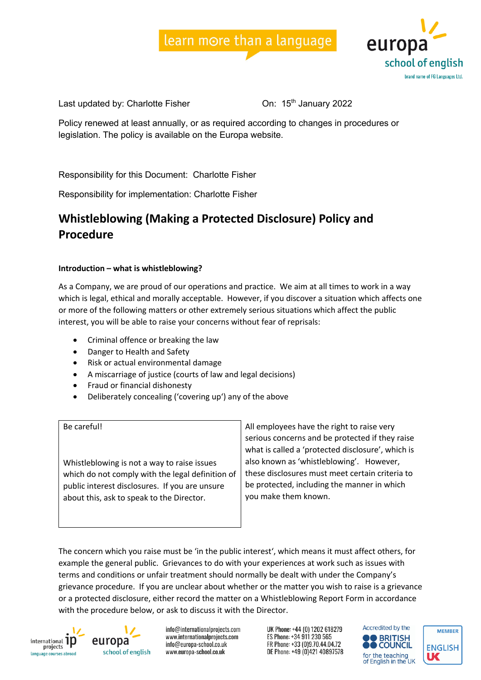



Last updated by: Charlotte Fisher Channel Changes Con: 15<sup>th</sup> January 2022

Policy renewed at least annually, or as required according to changes in procedures or legislation. The policy is available on the Europa website.

Responsibility for this Document: Charlotte Fisher

Responsibility for implementation: Charlotte Fisher

# **Whistleblowing (Making a Protected Disclosure) Policy and Procedure**

### **Introduction – what is whistleblowing?**

As a Company, we are proud of our operations and practice. We aim at all times to work in a way which is legal, ethical and morally acceptable. However, if you discover a situation which affects one or more of the following matters or other extremely serious situations which affect the public interest, you will be able to raise your concerns without fear of reprisals:

- Criminal offence or breaking the law
- Danger to Health and Safety
- Risk or actual environmental damage
- A miscarriage of justice (courts of law and legal decisions)
- Fraud or financial dishonesty
- Deliberately concealing ('covering up') any of the above

| Be careful!<br>Whistleblowing is not a way to raise issues<br>which do not comply with the legal definition of<br>public interest disclosures. If you are unsure<br>about this, ask to speak to the Director. | All employees have the right to raise very<br>serious concerns and be protected if they raise<br>what is called a 'protected disclosure', which is<br>also known as 'whistleblowing'. However,<br>these disclosures must meet certain criteria to<br>be protected, including the manner in which<br>you make them known. |
|---------------------------------------------------------------------------------------------------------------------------------------------------------------------------------------------------------------|--------------------------------------------------------------------------------------------------------------------------------------------------------------------------------------------------------------------------------------------------------------------------------------------------------------------------|
|---------------------------------------------------------------------------------------------------------------------------------------------------------------------------------------------------------------|--------------------------------------------------------------------------------------------------------------------------------------------------------------------------------------------------------------------------------------------------------------------------------------------------------------------------|

The concern which you raise must be 'in the public interest', which means it must affect others, for example the general public. Grievances to do with your experiences at work such as issues with terms and conditions or unfair treatment should normally be dealt with under the Company's grievance procedure. If you are unclear about whether or the matter you wish to raise is a grievance or a protected disclosure, either record the matter on a Whistleblowing Report Form in accordance with the procedure below, or ask to discuss it with the Director.





info@internationalprojects.com www.internationalprojects.com info@europa-school.co.uk www.europa-school.co.uk



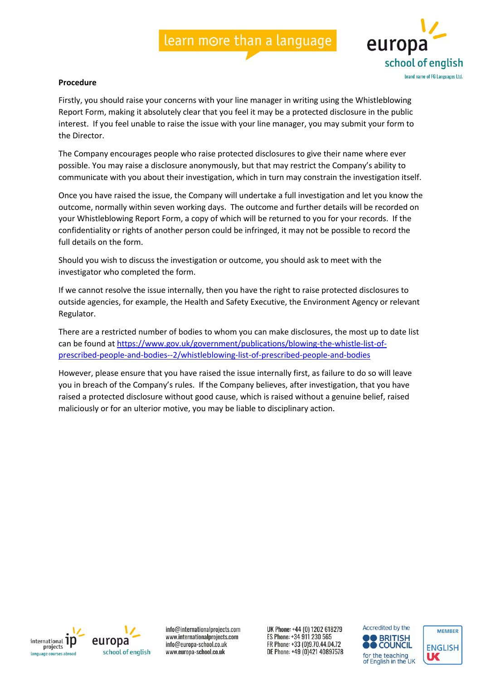

#### **Procedure**

Firstly, you should raise your concerns with your line manager in writing using the Whistleblowing Report Form, making it absolutely clear that you feel it may be a protected disclosure in the public interest. If you feel unable to raise the issue with your line manager, you may submit your form to the Director.

The Company encourages people who raise protected disclosures to give their name where ever possible. You may raise a disclosure anonymously, but that may restrict the Company's ability to communicate with you about their investigation, which in turn may constrain the investigation itself.

Once you have raised the issue, the Company will undertake a full investigation and let you know the outcome, normally within seven working days. The outcome and further details will be recorded on your Whistleblowing Report Form, a copy of which will be returned to you for your records. If the confidentiality or rights of another person could be infringed, it may not be possible to record the full details on the form.

Should you wish to discuss the investigation or outcome, you should ask to meet with the investigator who completed the form.

If we cannot resolve the issue internally, then you have the right to raise protected disclosures to outside agencies, for example, the Health and Safety Executive, the Environment Agency or relevant Regulator.

There are a restricted number of bodies to whom you can make disclosures, the most up to date list can be found at https://www.gov.uk/government/publications/blowing-the-whistle-list-ofprescribed-people-and-bodies--2/whistleblowing-list-of-prescribed-people-and-bodies

However, please ensure that you have raised the issue internally first, as failure to do so will leave you in breach of the Company's rules. If the Company believes, after investigation, that you have raised a protected disclosure without good cause, which is raised without a genuine belief, raised maliciously or for an ulterior motive, you may be liable to disciplinary action.





info@internationalprojects.com www.internationalprojects.com info@europa-school.co.uk www.europa-school.co.uk



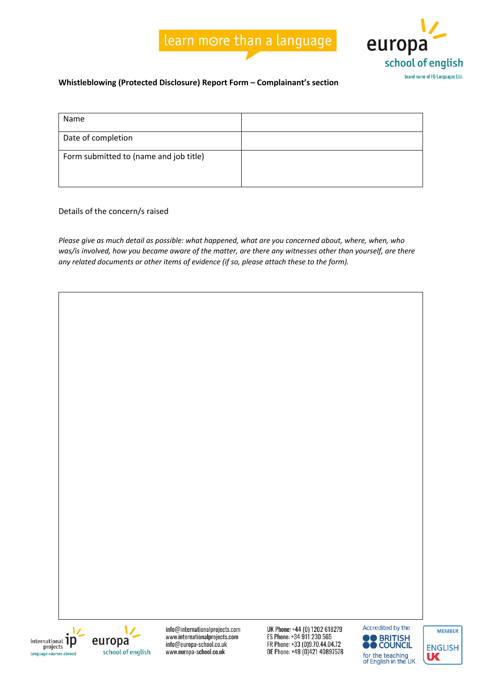

## **Whistleblowing (Protected Disclosure) Report Form – Complainant's section**

| Name                                   |  |
|----------------------------------------|--|
| Date of completion                     |  |
| Form submitted to (name and job title) |  |

Details of the concern/s raised

*Please give as much detail as possible: what happened, what are you concerned about, where, when, who was/is involved, how you became aware of the matter, are there any witnesses other than yourself, are there any related documents or other items of evidence (if so, please attach these to the form).*





info@internationalprojects.com www.internationalprojects.com info@europa-school.co.uk www.europa-school.co.uk



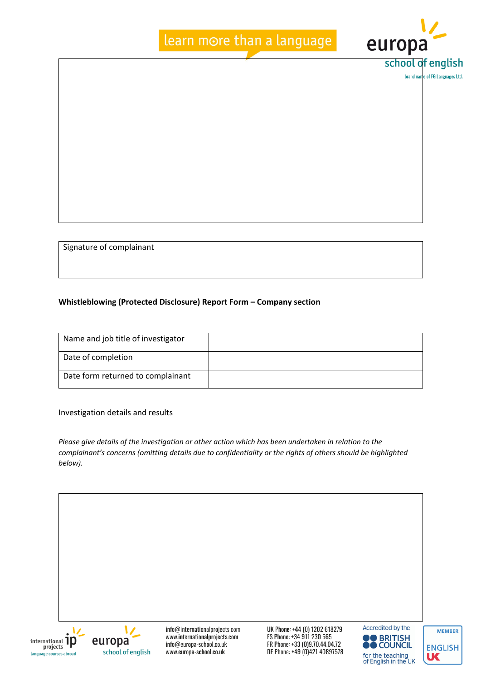# learn more than a language



**brand name of FG Languages Ltd** 

Signature of complainant

### **Whistleblowing (Protected Disclosure) Report Form – Company section**

| Name and job title of investigator |  |
|------------------------------------|--|
| Date of completion                 |  |
| Date form returned to complainant  |  |

Investigation details and results

*Please give details of the investigation or other action which has been undertaken in relation to the complainant's concerns (omitting details due to confidentiality or the rights of others should be highlighted below).*





info@internationalprojects.com www.internationalprojects.com info@europa-school.co.uk www.europa-school.co.uk